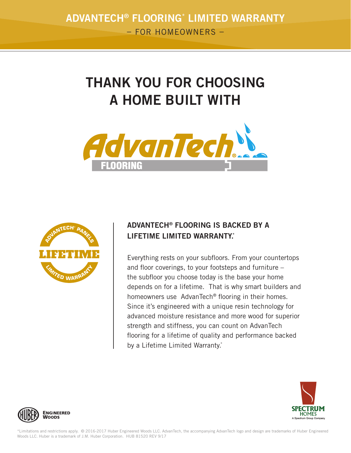## THANK YOU FOR CHOOSING A HOME BUILT WITH





## ADVANTECH® FLOORING IS BACKED BY A LIFFTIME LIMITED WARRANTY\*

Everything rests on your subfloors. From your countertops and floor coverings, to your footsteps and furniture  $$ the subfloor you choose today is the base your home depends on for a lifetime. That is why smart builders and homeowners use AdvanTech<sup>®</sup> flooring in their homes. Since it's engineered with a unique resin technology for advanced moisture resistance and more wood for superior strength and stiffness, you can count on AdvanTech flooring for a lifetime of quality and performance backed by a Lifetime Limited Warranty.\*